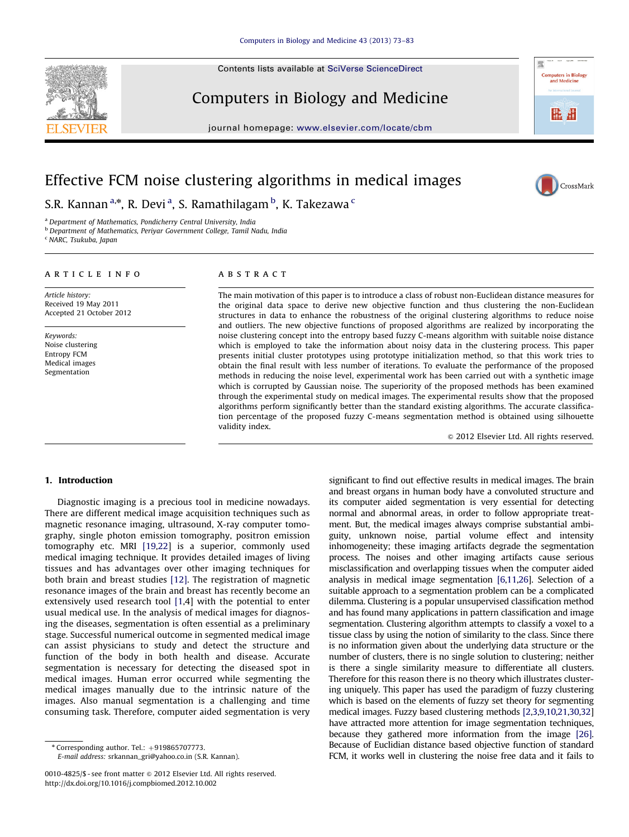Contents lists available at [SciVerse ScienceDirect](www.elsevier.com/locate/cbm)



# Computers in Biology and Medicine

journal homepage: <www.elsevier.com/locate/cbm>



**Computers in Biology**<br>and Medicine

唯 维

## Effective FCM noise clustering algorithms in medical images

S.R. Kannan<sup>a,\*</sup>, R. Devi<sup>a</sup>, S. Ramathilagam <sup>b</sup>, K. Takezawa <sup>c</sup>

<sup>a</sup> Department of Mathematics, Pondicherry Central University, India

**b Department of Mathematics, Periyar Government College, Tamil Nadu, India** 

<sup>c</sup> NARC, Tsukuba, Japan

### article info

Article history: Received 19 May 2011 Accepted 21 October 2012

Keywords: Noise clustering Entropy FCM Medical images Segmentation

## ABSTRACT

The main motivation of this paper is to introduce a class of robust non-Euclidean distance measures for the original data space to derive new objective function and thus clustering the non-Euclidean structures in data to enhance the robustness of the original clustering algorithms to reduce noise and outliers. The new objective functions of proposed algorithms are realized by incorporating the noise clustering concept into the entropy based fuzzy C-means algorithm with suitable noise distance which is employed to take the information about noisy data in the clustering process. This paper presents initial cluster prototypes using prototype initialization method, so that this work tries to obtain the final result with less number of iterations. To evaluate the performance of the proposed methods in reducing the noise level, experimental work has been carried out with a synthetic image which is corrupted by Gaussian noise. The superiority of the proposed methods has been examined through the experimental study on medical images. The experimental results show that the proposed algorithms perform significantly better than the standard existing algorithms. The accurate classification percentage of the proposed fuzzy C-means segmentation method is obtained using silhouette validity index.

 $@$  2012 Elsevier Ltd. All rights reserved.

#### 1. Introduction

Diagnostic imaging is a precious tool in medicine nowadays. There are different medical image acquisition techniques such as magnetic resonance imaging, ultrasound, X-ray computer tomography, single photon emission tomography, positron emission tomography etc. MRI [\[19,22](#page--1-0)] is a superior, commonly used medical imaging technique. It provides detailed images of living tissues and has advantages over other imaging techniques for both brain and breast studies [\[12\]](#page--1-0). The registration of magnetic resonance images of the brain and breast has recently become an extensively used research tool [\[1](#page--1-0),4] with the potential to enter usual medical use. In the analysis of medical images for diagnosing the diseases, segmentation is often essential as a preliminary stage. Successful numerical outcome in segmented medical image can assist physicians to study and detect the structure and function of the body in both health and disease. Accurate segmentation is necessary for detecting the diseased spot in medical images. Human error occurred while segmenting the medical images manually due to the intrinsic nature of the images. Also manual segmentation is a challenging and time consuming task. Therefore, computer aided segmentation is very

E-mail address: [srkannan\\_gri@yahoo.co.in \(S.R. Kannan\)](mailto:srkannan_gri@yahoo.co.in).

significant to find out effective results in medical images. The brain and breast organs in human body have a convoluted structure and its computer aided segmentation is very essential for detecting normal and abnormal areas, in order to follow appropriate treatment. But, the medical images always comprise substantial ambiguity, unknown noise, partial volume effect and intensity inhomogeneity; these imaging artifacts degrade the segmentation process. The noises and other imaging artifacts cause serious misclassification and overlapping tissues when the computer aided analysis in medical image segmentation [\[6,11,26\]](#page--1-0). Selection of a suitable approach to a segmentation problem can be a complicated dilemma. Clustering is a popular unsupervised classification method and has found many applications in pattern classification and image segmentation. Clustering algorithm attempts to classify a voxel to a tissue class by using the notion of similarity to the class. Since there is no information given about the underlying data structure or the number of clusters, there is no single solution to clustering; neither is there a single similarity measure to differentiate all clusters. Therefore for this reason there is no theory which illustrates clustering uniquely. This paper has used the paradigm of fuzzy clustering which is based on the elements of fuzzy set theory for segmenting medical images. Fuzzy based clustering methods [\[2,3,9,10,21,30,32\]](#page--1-0) have attracted more attention for image segmentation techniques, because they gathered more information from the image [\[26\].](#page--1-0) Because of Euclidian distance based objective function of standard FCM, it works well in clustering the noise free data and it fails to

 $*$  Corresponding author. Tel.:  $+919865707773$ .

<sup>0010-4825/\$ -</sup> see front matter @ 2012 Elsevier Ltd. All rights reserved. [http://dx.doi.org/10.1016/j.compbiomed.2012.10.002](dx.doi.org/10.1016/j.compbiomed.2012.10.002)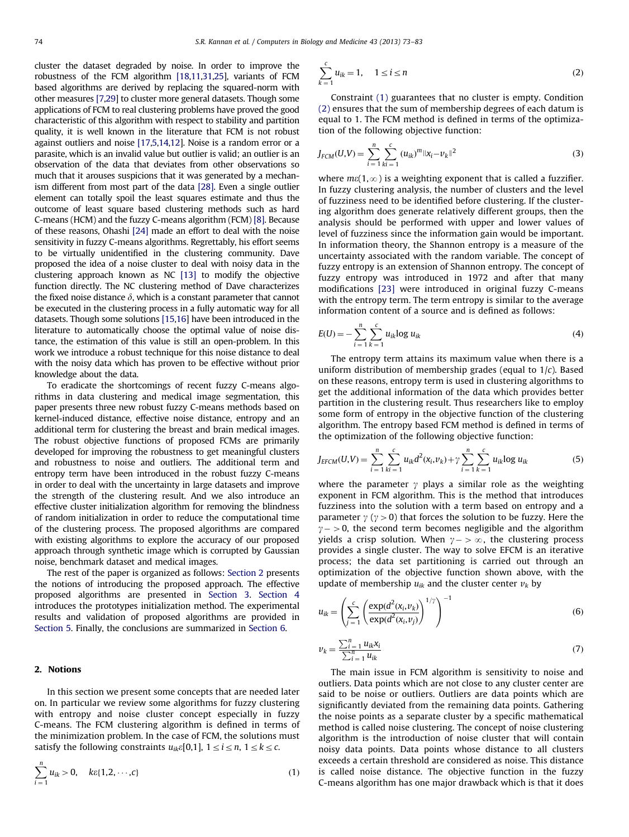cluster the dataset degraded by noise. In order to improve the robustness of the FCM algorithm [\[18,11,31](#page--1-0),[25](#page--1-0)], variants of FCM based algorithms are derived by replacing the squared-norm with other measures [\[7,29](#page--1-0)] to cluster more general datasets. Though some applications of FCM to real clustering problems have proved the good characteristic of this algorithm with respect to stability and partition quality, it is well known in the literature that FCM is not robust against outliers and noise [\[17,5,14,12\]](#page--1-0). Noise is a random error or a parasite, which is an invalid value but outlier is valid; an outlier is an observation of the data that deviates from other observations so much that it arouses suspicions that it was generated by a mechanism different from most part of the data [\[28\]](#page--1-0). Even a single outlier element can totally spoil the least squares estimate and thus the outcome of least square based clustering methods such as hard C-means (HCM) and the fuzzy C-means algorithm (FCM) [\[8\].](#page--1-0) Because of these reasons, Ohashi [\[24\]](#page--1-0) made an effort to deal with the noise sensitivity in fuzzy C-means algorithms. Regrettably, his effort seems to be virtually unidentified in the clustering community. Dave proposed the idea of a noise cluster to deal with noisy data in the clustering approach known as NC [\[13\]](#page--1-0) to modify the objective function directly. The NC clustering method of Dave characterizes the fixed noise distance  $\delta$ , which is a constant parameter that cannot be executed in the clustering process in a fully automatic way for all datasets. Though some solutions [\[15,16](#page--1-0)] have been introduced in the literature to automatically choose the optimal value of noise distance, the estimation of this value is still an open-problem. In this work we introduce a robust technique for this noise distance to deal with the noisy data which has proven to be effective without prior knowledge about the data.

To eradicate the shortcomings of recent fuzzy C-means algorithms in data clustering and medical image segmentation, this paper presents three new robust fuzzy C-means methods based on kernel-induced distance, effective noise distance, entropy and an additional term for clustering the breast and brain medical images. The robust objective functions of proposed FCMs are primarily developed for improving the robustness to get meaningful clusters and robustness to noise and outliers. The additional term and entropy term have been introduced in the robust fuzzy C-means in order to deal with the uncertainty in large datasets and improve the strength of the clustering result. And we also introduce an effective cluster initialization algorithm for removing the blindness of random initialization in order to reduce the computational time of the clustering process. The proposed algorithms are compared with existing algorithms to explore the accuracy of our proposed approach through synthetic image which is corrupted by Gaussian noise, benchmark dataset and medical images.

The rest of the paper is organized as follows: Section 2 presents the notions of introducing the proposed approach. The effective proposed algorithms are presented in [Section 3](#page--1-0). [Section 4](#page--1-0) introduces the prototypes initialization method. The experimental results and validation of proposed algorithms are provided in [Section 5](#page--1-0). Finally, the conclusions are summarized in [Section 6](#page--1-0).

#### 2. Notions

In this section we present some concepts that are needed later on. In particular we review some algorithms for fuzzy clustering with entropy and noise cluster concept especially in fuzzy C-means. The FCM clustering algorithm is defined in terms of the minimization problem. In the case of FCM, the solutions must satisfy the following constraints  $u_{ik}\varepsilon[0,1]$ ,  $1 \le i \le n$ ,  $1 \le k \le c$ .

$$
\sum_{i=1}^{n} u_{ik} > 0, \quad k\varepsilon\{1, 2, \cdots, c\}
$$
 (1)

$$
\sum_{k=1}^{c} u_{ik} = 1, \quad 1 \le i \le n
$$
 (2)

Constraint (1) guarantees that no cluster is empty. Condition (2) ensures that the sum of membership degrees of each datum is equal to 1. The FCM method is defined in terms of the optimization of the following objective function:

$$
J_{FCM}(U,V) = \sum_{i=1}^{n} \sum_{ki=1}^{c} (u_{ik})^{m} ||x_i - v_k||^2
$$
 (3)

where  $m\varepsilon(1,\infty)$  is a weighting exponent that is called a fuzzifier. In fuzzy clustering analysis, the number of clusters and the level of fuzziness need to be identified before clustering. If the clustering algorithm does generate relatively different groups, then the analysis should be performed with upper and lower values of level of fuzziness since the information gain would be important. In information theory, the Shannon entropy is a measure of the uncertainty associated with the random variable. The concept of fuzzy entropy is an extension of Shannon entropy. The concept of fuzzy entropy was introduced in 1972 and after that many modifications [\[23\]](#page--1-0) were introduced in original fuzzy C-means with the entropy term. The term entropy is similar to the average information content of a source and is defined as follows:

$$
E(U) = -\sum_{i=1}^{n} \sum_{k=1}^{c} u_{ik} \log u_{ik}
$$
 (4)

The entropy term attains its maximum value when there is a uniform distribution of membership grades (equal to  $1/c$ ). Based on these reasons, entropy term is used in clustering algorithms to get the additional information of the data which provides better partition in the clustering result. Thus researchers like to employ some form of entropy in the objective function of the clustering algorithm. The entropy based FCM method is defined in terms of the optimization of the following objective function:

$$
J_{EFCM}(U,V) = \sum_{i=1}^{n} \sum_{ki=1}^{c} u_{ik} d^{2}(x_{i},v_{k}) + \gamma \sum_{i=1}^{n} \sum_{k=1}^{c} u_{ik} \log u_{ik}
$$
(5)

where the parameter  $\gamma$  plays a similar role as the weighting exponent in FCM algorithm. This is the method that introduces fuzziness into the solution with a term based on entropy and a parameter  $\gamma$  ( $\gamma > 0$ ) that forces the solution to be fuzzy. Here the  $\gamma$  –  $>$  0, the second term becomes negligible and the algorithm yields a crisp solution. When  $y - > \infty$ , the clustering process provides a single cluster. The way to solve EFCM is an iterative process; the data set partitioning is carried out through an optimization of the objective function shown above, with the update of membership  $u_{ik}$  and the cluster center  $v_k$  by

$$
u_{ik} = \left(\sum_{j=1}^{c} \left(\frac{\exp(d^2(x_i, v_k)}{\exp(d^2(x_i, v_j)})\right)^{1/\gamma}\right)^{-1}
$$
(6)

$$
\nu_k = \frac{\sum_{i=1}^n u_{ik} x_i}{\sum_{i=1}^n u_{ik}}
$$
(7)

The main issue in FCM algorithm is sensitivity to noise and outliers. Data points which are not close to any cluster center are said to be noise or outliers. Outliers are data points which are significantly deviated from the remaining data points. Gathering the noise points as a separate cluster by a specific mathematical method is called noise clustering. The concept of noise clustering algorithm is the introduction of noise cluster that will contain noisy data points. Data points whose distance to all clusters exceeds a certain threshold are considered as noise. This distance is called noise distance. The objective function in the fuzzy C-means algorithm has one major drawback which is that it does